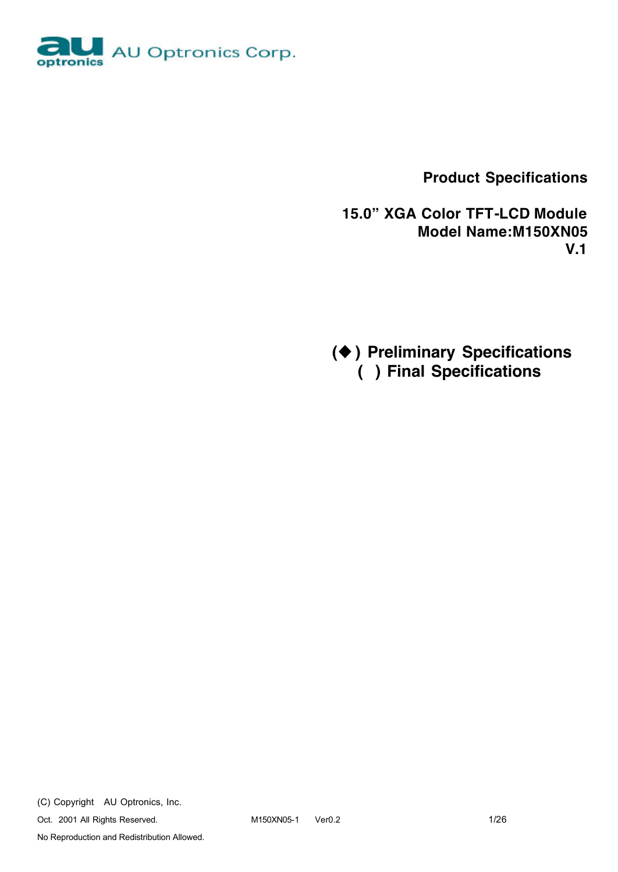

 **Product Specifications**

 **15.0" XGA Color TFT-LCD Module Model Name:M150XN05 V.1**

**(**u **) Preliminary Specifications ( ) Final Specifications**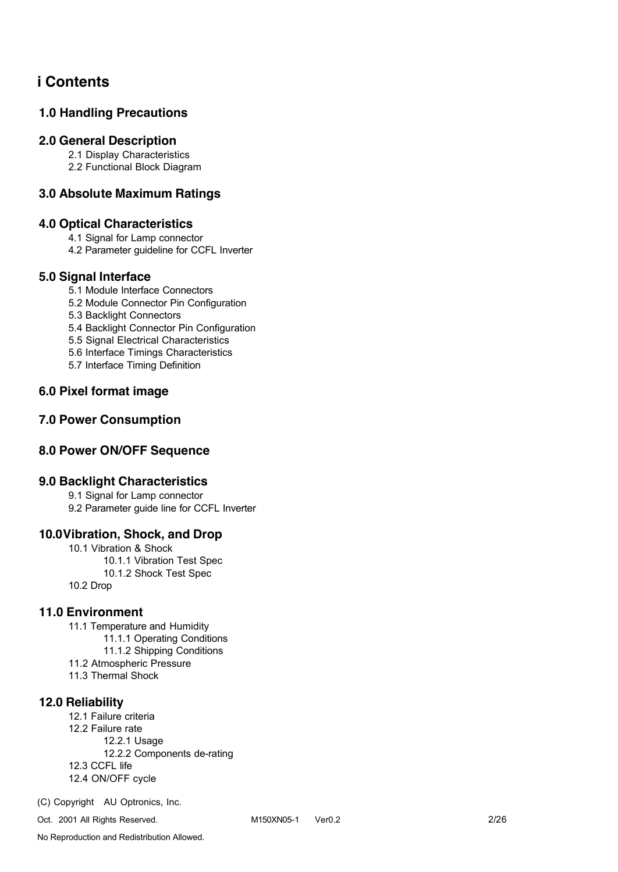## **i Contents**

### **1.0 Handling Precautions**

#### **2.0 General Description**

2.1 Display Characteristics

2.2 Functional Block Diagram

### **3.0 Absolute Maximum Ratings**

### **4.0 Optical Characteristics**

4.1 Signal for Lamp connector

4.2 Parameter guideline for CCFL Inverter

#### **5.0 Signal Interface**

- 5.1 Module Interface Connectors
- 5.2 Module Connector Pin Configuration

5.3 Backlight Connectors

5.4 Backlight Connector Pin Configuration

5.5 Signal Electrical Characteristics

5.6 Interface Timings Characteristics

5.7 Interface Timing Definition

### **6.0 Pixel format image**

### **7.0 Power Consumption**

### **8.0 Power ON/OFF Sequence**

### **9.0 Backlight Characteristics**

9.1 Signal for Lamp connector 9.2 Parameter guide line for CCFL Inverter

### **10.0Vibration, Shock, and Drop**

10.1 Vibration & Shock 10.1.1 Vibration Test Spec 10.1.2 Shock Test Spec 10.2 Drop

### **11.0 Environment**

- 11.1 Temperature and Humidity
	- 11.1.1 Operating Conditions
	- 11.1.2 Shipping Conditions
- 11.2 Atmospheric Pressure
- 11.3 Thermal Shock

### **12.0 Reliability**

12.1 Failure criteria 12.2 Failure rate 12.2.1 Usage 12.2.2 Components de-rating 12.3 CCFL life 12.4 ON/OFF cycle

(C) Copyright AU Optronics, Inc.

Oct. 2001 All Rights Reserved. M150XN05-1 Ver0.2 2/26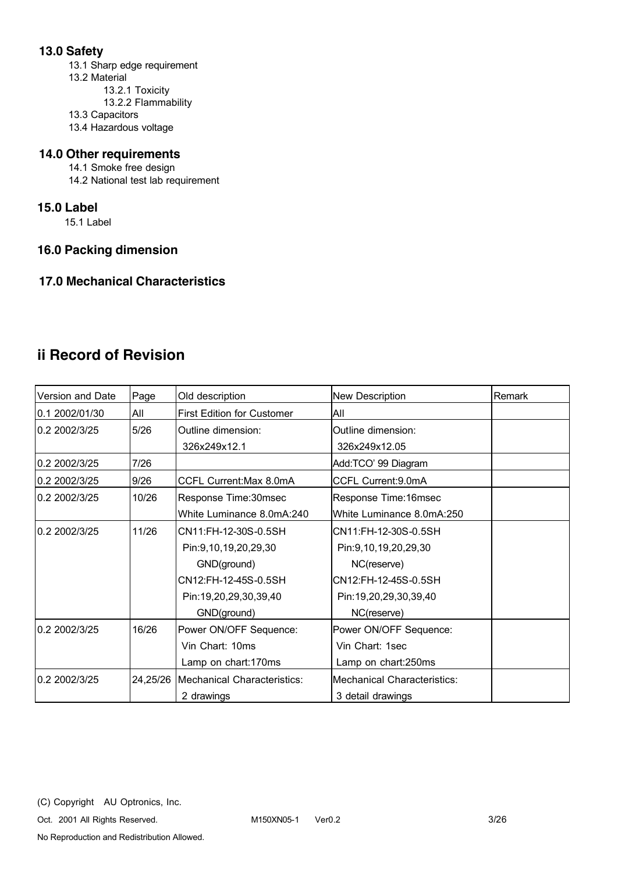### **13.0 Safety**

13.1 Sharp edge requirement 13.2 Material 13.2.1 Toxicity

- 13.2.2 Flammability
- 13.3 Capacitors
- 13.4 Hazardous voltage

### **14.0 Other requirements**

14.1 Smoke free design 14.2 National test lab requirement

#### **15.0 Label**

15.1 Label

### **16.0 Packing dimension**

### **17.0 Mechanical Characteristics**

# **ii Record of Revision**

| Version and Date | Page     | Old description                   | <b>New Description</b>      | Remark |
|------------------|----------|-----------------------------------|-----------------------------|--------|
| 0.1 2002/01/30   | All      | <b>First Edition for Customer</b> | All                         |        |
| 0.2 2002/3/25    | 5/26     | Outline dimension:                | Outline dimension:          |        |
|                  |          | 326x249x12.1                      | 326x249x12.05               |        |
| 0.2 2002/3/25    | 7/26     |                                   | Add:TCO' 99 Diagram         |        |
| 0.2 2002/3/25    | 9/26     | CCFL Current: Max 8.0mA           | CCFL Current: 9.0mA         |        |
| 0.2 2002/3/25    | 10/26    | Response Time:30msec              | Response Time: 16msec       |        |
|                  |          | White Luminance 8.0mA:240         | White Luminance 8.0mA:250   |        |
| 0.2 2002/3/25    | 11/26    | CN11:FH-12-30S-0.5SH              | CN11:FH-12-30S-0.5SH        |        |
|                  |          | Pin:9,10,19,20,29,30              | Pin:9,10,19,20,29,30        |        |
|                  |          | GND(ground)                       | NC(reserve)                 |        |
|                  |          | CN12:FH-12-45S-0.5SH              | CN12:FH-12-45S-0.5SH        |        |
|                  |          | Pin:19,20,29,30,39,40             | Pin:19,20,29,30,39,40       |        |
|                  |          | GND(ground)                       | NC(reserve)                 |        |
| 0.2 2002/3/25    | 16/26    | Power ON/OFF Sequence:            | Power ON/OFF Sequence:      |        |
|                  |          | Vin Chart: 10ms                   | Vin Chart: 1sec             |        |
|                  |          | Lamp on chart:170ms               | Lamp on chart:250ms         |        |
| 0.2 2002/3/25    | 24,25/26 | Mechanical Characteristics:       | Mechanical Characteristics: |        |
|                  |          | 2 drawings                        | 3 detail drawings           |        |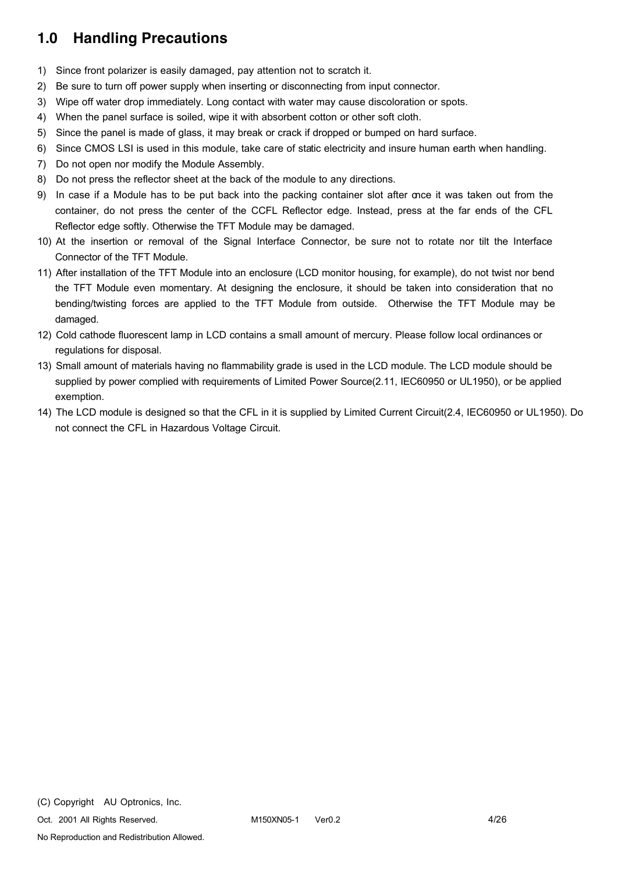## **1.0 Handling Precautions**

- 1) Since front polarizer is easily damaged, pay attention not to scratch it.
- 2) Be sure to turn off power supply when inserting or disconnecting from input connector.
- 3) Wipe off water drop immediately. Long contact with water may cause discoloration or spots.
- 4) When the panel surface is soiled, wipe it with absorbent cotton or other soft cloth.
- 5) Since the panel is made of glass, it may break or crack if dropped or bumped on hard surface.
- 6) Since CMOS LSI is used in this module, take care of static electricity and insure human earth when handling.
- 7) Do not open nor modify the Module Assembly.
- 8) Do not press the reflector sheet at the back of the module to any directions.
- 9) In case if a Module has to be put back into the packing container slot after once it was taken out from the container, do not press the center of the CCFL Reflector edge. Instead, press at the far ends of the CFL Reflector edge softly. Otherwise the TFT Module may be damaged.
- 10) At the insertion or removal of the Signal Interface Connector, be sure not to rotate nor tilt the Interface Connector of the TFT Module.
- 11) After installation of the TFT Module into an enclosure (LCD monitor housing, for example), do not twist nor bend the TFT Module even momentary. At designing the enclosure, it should be taken into consideration that no bending/twisting forces are applied to the TFT Module from outside. Otherwise the TFT Module may be damaged.
- 12) Cold cathode fluorescent lamp in LCD contains a small amount of mercury. Please follow local ordinances or regulations for disposal.
- 13) Small amount of materials having no flammability grade is used in the LCD module. The LCD module should be supplied by power complied with requirements of Limited Power Source(2.11, IEC60950 or UL1950), or be applied exemption.
- 14) The LCD module is designed so that the CFL in it is supplied by Limited Current Circuit(2.4, IEC60950 or UL1950). Do not connect the CFL in Hazardous Voltage Circuit.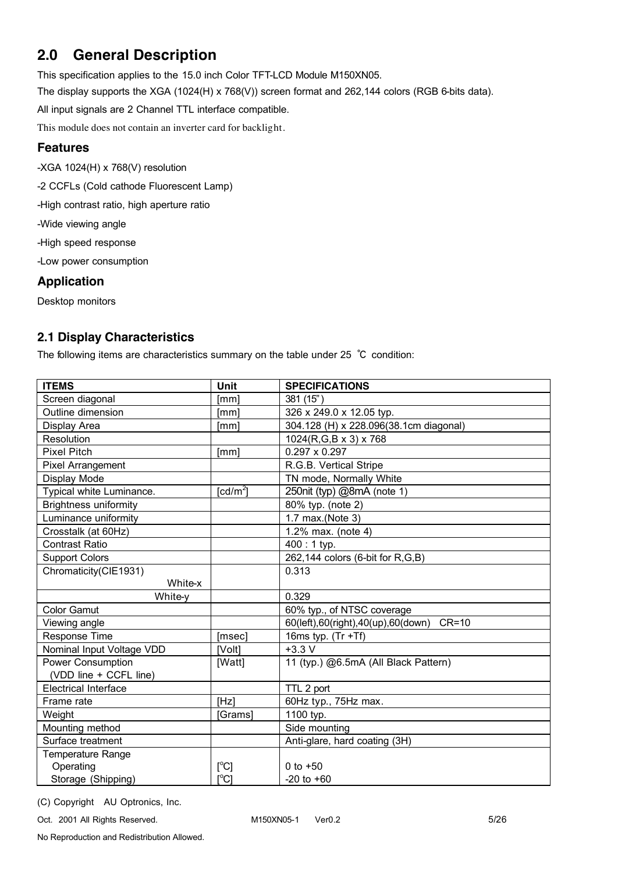# **2.0 General Description**

This specification applies to the 15.0 inch Color TFT-LCD Module M150XN05.

The display supports the XGA (1024(H) x 768(V)) screen format and 262,144 colors (RGB 6-bits data).

All input signals are 2 Channel TTL interface compatible.

This module does not contain an inverter card for backlight.

### **Features**

-XGA 1024(H) x 768(V) resolution

-2 CCFLs (Cold cathode Fluorescent Lamp)

-High contrast ratio, high aperture ratio

-Wide viewing angle

-High speed response

-Low power consumption

### **Application**

Desktop monitors

### **2.1 Display Characteristics**

The following items are characteristics summary on the table under 25 ℃ condition:

| <b>ITEMS</b>                 | Unit                    | <b>SPECIFICATIONS</b>                         |
|------------------------------|-------------------------|-----------------------------------------------|
| Screen diagonal              | [mm]                    | 381 (15")                                     |
| Outline dimension            | [mm]                    | 326 x 249.0 x 12.05 typ.                      |
| Display Area                 | [mm]                    | 304.128 (H) x 228.096(38.1cm diagonal)        |
| Resolution                   |                         | 1024(R,G,B x 3) x 768                         |
| <b>Pixel Pitch</b>           | [mm]                    | $0.297 \times 0.297$                          |
| <b>Pixel Arrangement</b>     |                         | R.G.B. Vertical Stripe                        |
| Display Mode                 |                         | TN mode, Normally White                       |
| Typical white Luminance.     | [ $cd/m2$ ]             | 250nit (typ) @8mA (note 1)                    |
| <b>Brightness uniformity</b> |                         | 80% typ. (note 2)                             |
| Luminance uniformity         |                         | 1.7 max.(Note 3)                              |
| Crosstalk (at 60Hz)          |                         | 1.2% max. (note 4)                            |
| <b>Contrast Ratio</b>        |                         | $400:1$ typ.                                  |
| <b>Support Colors</b>        |                         | 262,144 colors (6-bit for R,G,B)              |
| Chromaticity(CIE1931)        |                         | 0.313                                         |
| White-x                      |                         |                                               |
| White-y                      |                         | 0.329                                         |
| <b>Color Gamut</b>           |                         | 60% typ., of NTSC coverage                    |
| Viewing angle                |                         | 60(left),60(right),40(up),60(down)<br>$CR=10$ |
| Response Time                | [msec]                  | 16ms typ. $(Tr + Tf)$                         |
| Nominal Input Voltage VDD    | [Volt]                  | $+3.3$ V                                      |
| <b>Power Consumption</b>     | [Watt]                  | 11 (typ.) @6.5mA (All Black Pattern)          |
| (VDD line + CCFL line)       |                         |                                               |
| <b>Electrical Interface</b>  |                         | TTL 2 port                                    |
| Frame rate                   | [Hz]                    | 60Hz typ., 75Hz max.                          |
| Weight                       | [Grams]                 | 1100 typ.                                     |
| Mounting method              |                         | Side mounting                                 |
| Surface treatment            |                         | Anti-glare, hard coating (3H)                 |
| Temperature Range            |                         |                                               |
| Operating                    | [°C]                    | 0 to $+50$                                    |
| Storage (Shipping)           | $\mathsf{I}^{\circ}$ Cl | $-20$ to $+60$                                |

(C) Copyright AU Optronics, Inc.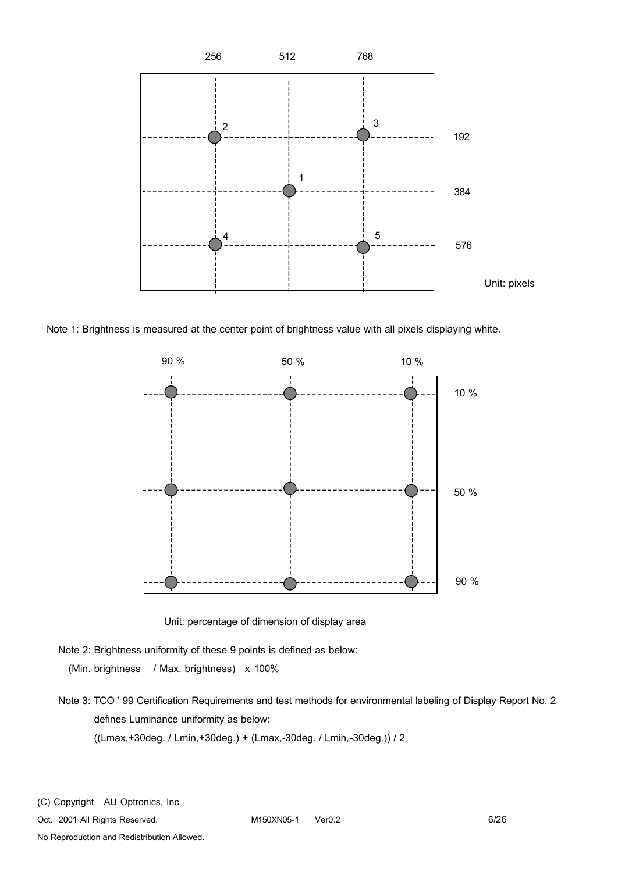

Note 1: Brightness is measured at the center point of brightness value with all pixels displaying white.



Unit: percentage of dimension of display area

- Note 2: Brightness uniformity of these 9 points is defined as below: (Min. brightness / Max. brightness) x 100%
- Note 3: TCO ' 99 Certification Requirements and test methods for environmental labeling of Display Report No. 2 defines Luminance uniformity as below: ((Lmax,+30deg. / Lmin,+30deg.) + (Lmax,-30deg. / Lmin,-30deg.)) / 2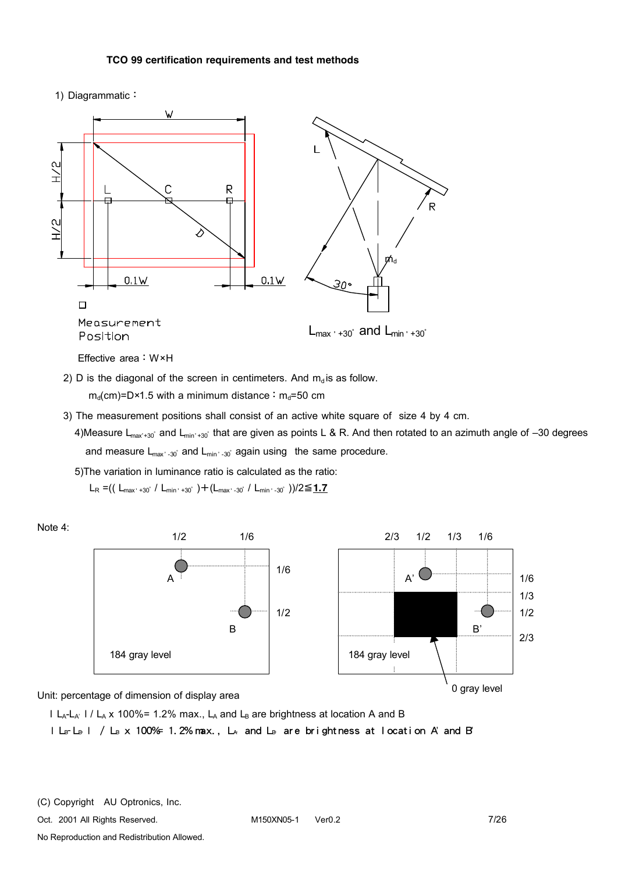#### **TCO 99 certification requirements and test methods**

1) Diagrammatic:



- 2) D is the diagonal of the screen in centimeters. And  $m_d$  is as follow.  $m_d$ (cm)=D×1.5 with a minimum distance:  $m_d$ =50 cm
- 3) The measurement positions shall consist of an active white square of size 4 by 4 cm.
	- 4)Measure L<sub>max+30</sub>° and L<sub>min'+30</sub>° that are given as points L & R. And then rotated to an azimuth angle of –30 degrees and measure L<sub>max</sub>, <sub>-30</sub>° and L<sub>min</sub>, <sub>-30</sub>° again using the same procedure.

5)The variation in luminance ratio is calculated as the ratio:

LR =(( Lmax,+30<sup>∘</sup>/ Lmin,+30<sup>∘</sup>)+(Lmax,-30<sup>∘</sup>/ Lmin,-30<sup>∘</sup>))/2≦**1.7**



Unit: percentage of dimension of display area

I L<sub>A</sub>-L<sub>A'</sub> I / L<sub>A</sub> x 100%= 1.2% max., L<sub>A</sub> and L<sub>B</sub> are brightness at location A and B

l LBI / LB x 100%= 1.2% max., LA' and LB are brightness at location A' and B'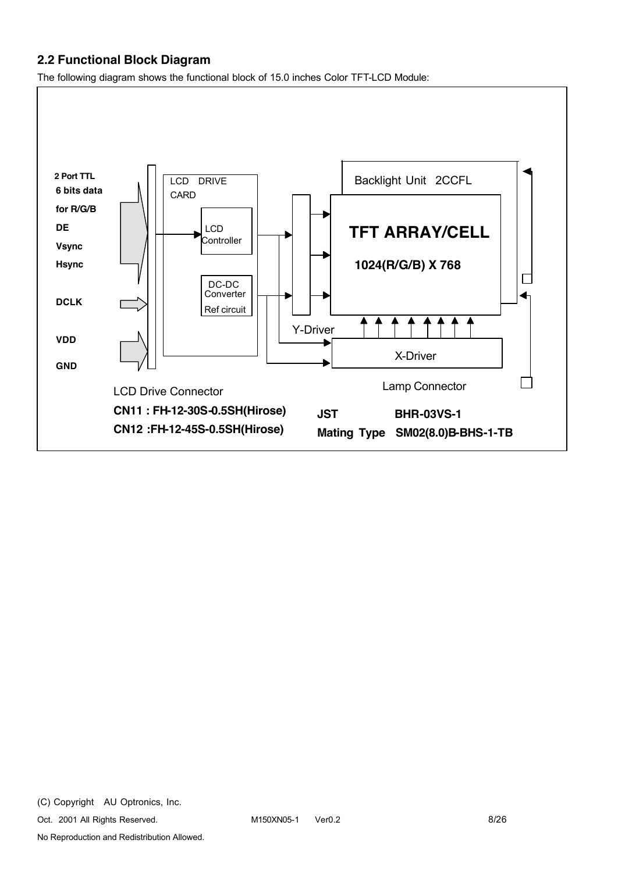### **2.2 Functional Block Diagram**

The following diagram shows the functional block of 15.0 inches Color TFT-LCD Module:

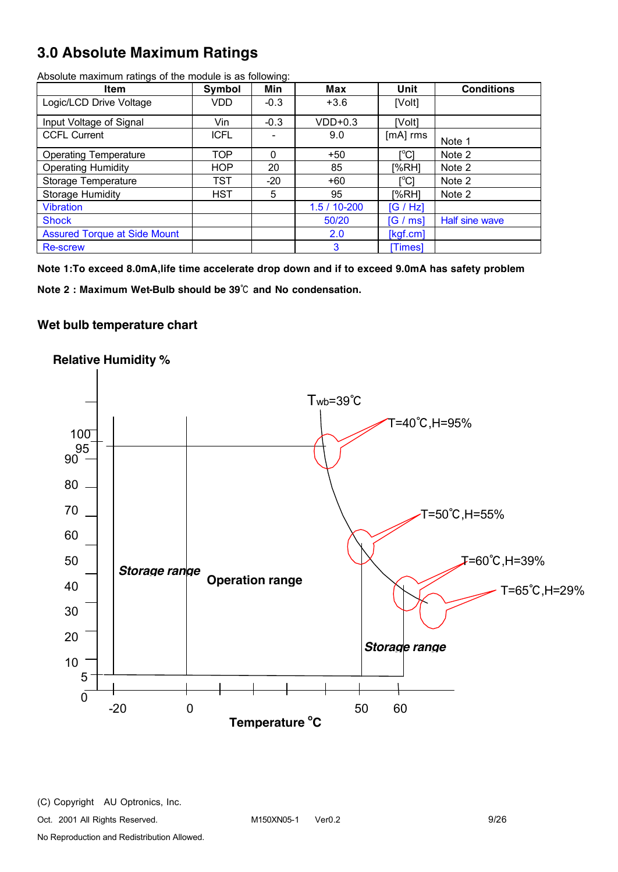# **3.0 Absolute Maximum Ratings**

| <b>Item</b>                         | Symbol      | Min    | <b>Max</b>     | Unit       | <b>Conditions</b> |
|-------------------------------------|-------------|--------|----------------|------------|-------------------|
| Logic/LCD Drive Voltage             | VDD         | $-0.3$ | $+3.6$         | [Volt]     |                   |
| Input Voltage of Signal             | Vin         | $-0.3$ | $VDD+0.3$      | [Volt]     |                   |
| <b>CCFL Current</b>                 | <b>ICFL</b> |        | 9.0            | $[mA]$ rms | Note 1            |
| <b>Operating Temperature</b>        | <b>TOP</b>  | 0      | $+50$          | [°C]       | Note 2            |
| <b>Operating Humidity</b>           | <b>HOP</b>  | 20     | 85             | [%RH]      | Note 2            |
| Storage Temperature                 | <b>TST</b>  | $-20$  | $+60$          | r℃i        | Note 2            |
| <b>Storage Humidity</b>             | <b>HST</b>  | 5      | 95             | [%RH]      | Note 2            |
| <b>Vibration</b>                    |             |        | $1.5/10 - 200$ | [G/HZ]     |                   |
| <b>Shock</b>                        |             |        | 50/20          | [G / ms]   | Half sine wave    |
| <b>Assured Torque at Side Mount</b> |             |        | 2.0            | [kgf.cm]   |                   |
| <b>Re-screw</b>                     |             |        | 3              | [Times]    |                   |

Absolute maximum ratings of the module is as following:

**Note 1:To exceed 8.0mA,life time accelerate drop down and if to exceed 9.0mA has safety problem**

**Note 2 : Maximum Wet-Bulb should be 39**℃ **and No condensation.**

#### **Wet bulb temperature chart**

### **Relative Humidity %**

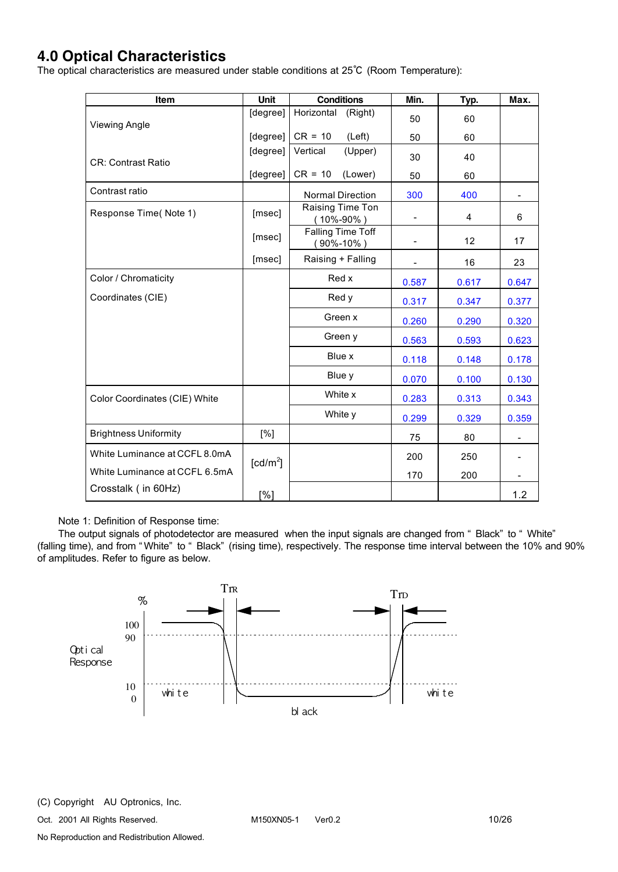## **4.0 Optical Characteristics**

The optical characteristics are measured under stable conditions at 25℃ (Room Temperature):

| <b>Item</b>                   | Unit                 | <b>Conditions</b>                    | Min.                     | Typ.           | Max.  |
|-------------------------------|----------------------|--------------------------------------|--------------------------|----------------|-------|
| <b>Viewing Angle</b>          | [degree]             | Horizontal<br>(Right)                | 50                       | 60             |       |
|                               | [degree]             | $CR = 10$<br>(Left)                  | 50                       | 60             |       |
| <b>CR: Contrast Ratio</b>     | [degree]             | Vertical<br>(Upper)                  | 30                       | 40             |       |
|                               | [degree]             | $CR = 10$<br>(Lower)                 | 50                       | 60             |       |
| Contrast ratio                |                      | <b>Normal Direction</b>              | 300                      | 400            |       |
| Response Time(Note 1)         | [msec]               | Raising Time Ton<br>$(10\% - 90\%)$  |                          | $\overline{4}$ | 6     |
|                               | [msec]               | Falling Time Toff<br>$(90\% - 10\%)$ | $\overline{\phantom{0}}$ | 12             | 17    |
|                               | [msec]               | Raising + Falling                    |                          | 16             | 23    |
| Color / Chromaticity          |                      | Red x                                | 0.587                    | 0.617          | 0.647 |
| Coordinates (CIE)             |                      | Red y                                | 0.317                    | 0.347          | 0.377 |
|                               |                      | Green x                              | 0.260                    | 0.290          | 0.320 |
|                               |                      | Green y                              | 0.563                    | 0.593          | 0.623 |
|                               |                      | Blue x                               | 0.118                    | 0.148          | 0.178 |
|                               |                      | Blue y                               | 0.070                    | 0.100          | 0.130 |
| Color Coordinates (CIE) White |                      | White x                              | 0.283                    | 0.313          | 0.343 |
|                               |                      | White y                              | 0.299                    | 0.329          | 0.359 |
| <b>Brightness Uniformity</b>  | [%]                  |                                      | 75                       | 80             |       |
| White Luminance at CCFL 8.0mA | [cd/m <sup>2</sup> ] |                                      | 200                      | 250            |       |
| White Luminance at CCFL 6.5mA |                      |                                      | 170                      | 200            |       |
| Crosstalk (in 60Hz)           | [%]                  |                                      |                          |                | 1.2   |

Note 1: Definition of Response time:

The output signals of photodetector are measured when the input signals are changed from " Black" to " White" (falling time), and from " White" to " Black" (rising time), respectively. The response time interval between the 10% and 90% of amplitudes. Refer to figure as below.

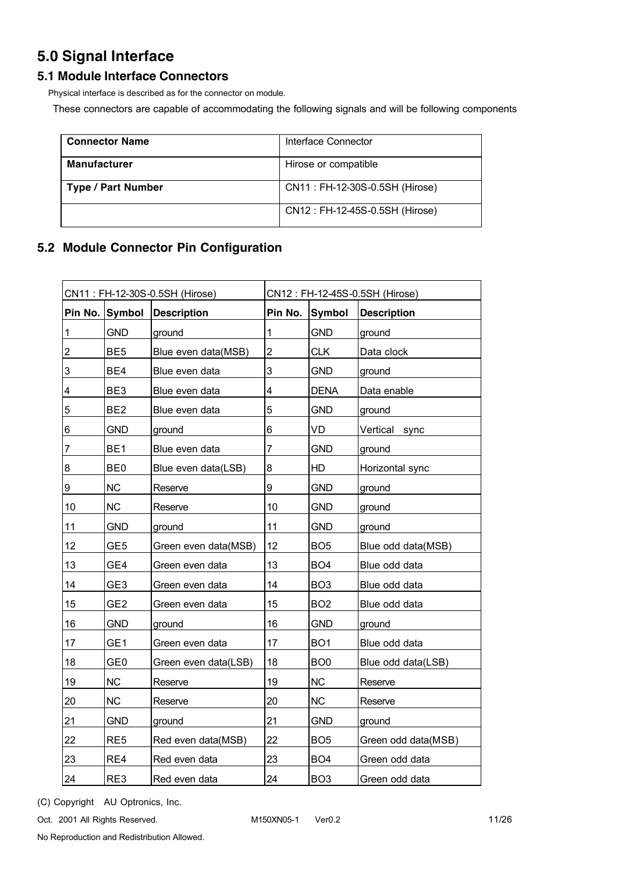# **5.0 Signal Interface**

### **5.1 Module Interface Connectors**

Physical interface is described as for the connector on module.

These connectors are capable of accommodating the following signals and will be following components

| <b>Connector Name</b>     | Interface Connector            |
|---------------------------|--------------------------------|
| <b>Manufacturer</b>       | Hirose or compatible           |
| <b>Type / Part Number</b> | CN11: FH-12-30S-0.5SH (Hirose) |
|                           | CN12: FH-12-45S-0.5SH (Hirose) |

### **5.2 Module Connector Pin Configuration**

| CN11: FH-12-30S-0.5SH (Hirose) |                 | CN12: FH-12-45S-0.5SH (Hirose) |         |                 |                     |
|--------------------------------|-----------------|--------------------------------|---------|-----------------|---------------------|
|                                | Pin No. Symbol  | Description                    | Pin No. | Symbol          | <b>Description</b>  |
| $\vert$ 1                      | <b>GND</b>      | ground                         | 1       | <b>GND</b>      | ground              |
| $\overline{2}$                 | BE <sub>5</sub> | Blue even data(MSB)            | 2       | <b>CLK</b>      | Data clock          |
| 3                              | BE4             | Blue even data                 | 3       | <b>GND</b>      | ground              |
| $\overline{\mathcal{A}}$       | BE <sub>3</sub> | Blue even data                 | 4       | <b>DENA</b>     | Data enable         |
| 5                              | BE <sub>2</sub> | Blue even data                 | 5       | <b>GND</b>      | ground              |
| $6\phantom{.}6$                | <b>GND</b>      | ground                         | 6       | VD              | Vertical<br>sync    |
| $\overline{7}$                 | BE <sub>1</sub> | Blue even data                 | 7       | <b>GND</b>      | ground              |
| $\boldsymbol{8}$               | BE <sub>0</sub> | Blue even data(LSB)            | 8       | HD              | Horizontal sync     |
| $\overline{9}$                 | <b>NC</b>       | Reserve                        | 9       | <b>GND</b>      | ground              |
| 10                             | <b>NC</b>       | Reserve                        | 10      | <b>GND</b>      | ground              |
| 11                             | <b>GND</b>      | ground                         | 11      | <b>GND</b>      | ground              |
| 12                             | GE <sub>5</sub> | Green even data(MSB)           | 12      | BO <sub>5</sub> | Blue odd data(MSB)  |
| 13                             | GE4             | Green even data                | 13      | BO <sub>4</sub> | Blue odd data       |
| 14                             | GE <sub>3</sub> | Green even data                | 14      | BO <sub>3</sub> | Blue odd data       |
| 15                             | GE <sub>2</sub> | Green even data                | 15      | BO <sub>2</sub> | Blue odd data       |
| 16                             | <b>GND</b>      | ground                         | 16      | <b>GND</b>      | ground              |
| 17                             | GE1             | Green even data                | 17      | BO <sub>1</sub> | Blue odd data       |
| 18                             | GE <sub>0</sub> | Green even data(LSB)           | 18      | BO <sub>0</sub> | Blue odd data(LSB)  |
| 19                             | <b>NC</b>       | Reserve                        | 19      | <b>NC</b>       | Reserve             |
| 20                             | <b>NC</b>       | Reserve                        | 20      | <b>NC</b>       | Reserve             |
| 21                             | <b>GND</b>      | ground                         | 21      | <b>GND</b>      | ground              |
| 22                             | RE <sub>5</sub> | Red even data(MSB)             | 22      | BO <sub>5</sub> | Green odd data(MSB) |
| 23                             | RE4             | Red even data                  | 23      | BO <sub>4</sub> | Green odd data      |
| 24                             | RE3             | Red even data                  | 24      | BO <sub>3</sub> | Green odd data      |

(C) Copyright AU Optronics, Inc.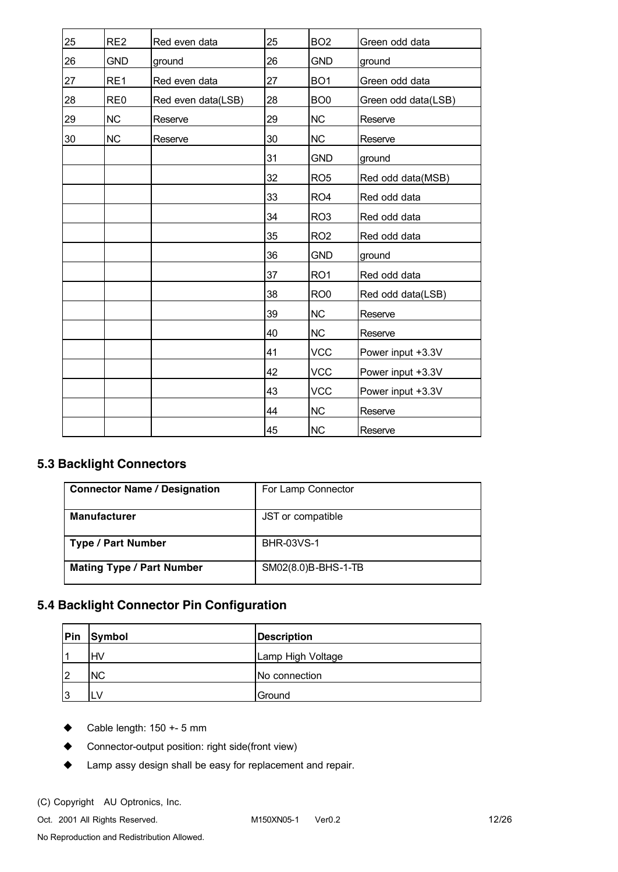| 25 | RE <sub>2</sub> | Red even data      | 25 | BO <sub>2</sub> | Green odd data      |
|----|-----------------|--------------------|----|-----------------|---------------------|
| 26 | <b>GND</b>      | ground             | 26 | <b>GND</b>      | ground              |
| 27 | RE1             | Red even data      | 27 | BO <sub>1</sub> | Green odd data      |
| 28 | RE <sub>0</sub> | Red even data(LSB) | 28 | BO <sub>0</sub> | Green odd data(LSB) |
| 29 | <b>NC</b>       | Reserve            | 29 | <b>NC</b>       | Reserve             |
| 30 | <b>NC</b>       | Reserve            | 30 | <b>NC</b>       | Reserve             |
|    |                 |                    | 31 | <b>GND</b>      | ground              |
|    |                 |                    | 32 | RO <sub>5</sub> | Red odd data(MSB)   |
|    |                 |                    | 33 | RO <sub>4</sub> | Red odd data        |
|    |                 |                    | 34 | RO <sub>3</sub> | Red odd data        |
|    |                 |                    | 35 | RO <sub>2</sub> | Red odd data        |
|    |                 |                    | 36 | GND             | ground              |
|    |                 |                    | 37 | RO <sub>1</sub> | Red odd data        |
|    |                 |                    | 38 | RO <sub>0</sub> | Red odd data(LSB)   |
|    |                 |                    | 39 | <b>NC</b>       | Reserve             |
|    |                 |                    | 40 | <b>NC</b>       | Reserve             |
|    |                 |                    | 41 | VCC             | Power input +3.3V   |
|    |                 |                    | 42 | <b>VCC</b>      | Power input +3.3V   |
|    |                 |                    | 43 | <b>VCC</b>      | Power input +3.3V   |
|    |                 |                    | 44 | <b>NC</b>       | Reserve             |
|    |                 |                    | 45 | <b>NC</b>       | Reserve             |

### **5.3 Backlight Connectors**

| <b>Connector Name / Designation</b> | For Lamp Connector  |
|-------------------------------------|---------------------|
| <b>Manufacturer</b>                 | JST or compatible   |
| <b>Type / Part Number</b>           | <b>BHR-03VS-1</b>   |
| <b>Mating Type / Part Number</b>    | SM02(8.0)B-BHS-1-TB |

### **5.4 Backlight Connector Pin Configuration**

| Pin                      | Symbol    | <b>Description</b> |
|--------------------------|-----------|--------------------|
| $\overline{\phantom{a}}$ | <b>HV</b> | Lamp High Voltage  |
| l2                       | <b>NC</b> | No connection      |
| l3                       | LV        | Ground             |

- $\triangleleft$  Cable length: 150 +- 5 mm
- Connector-output position: right side(front view)
- $\blacklozenge$  Lamp assy design shall be easy for replacement and repair.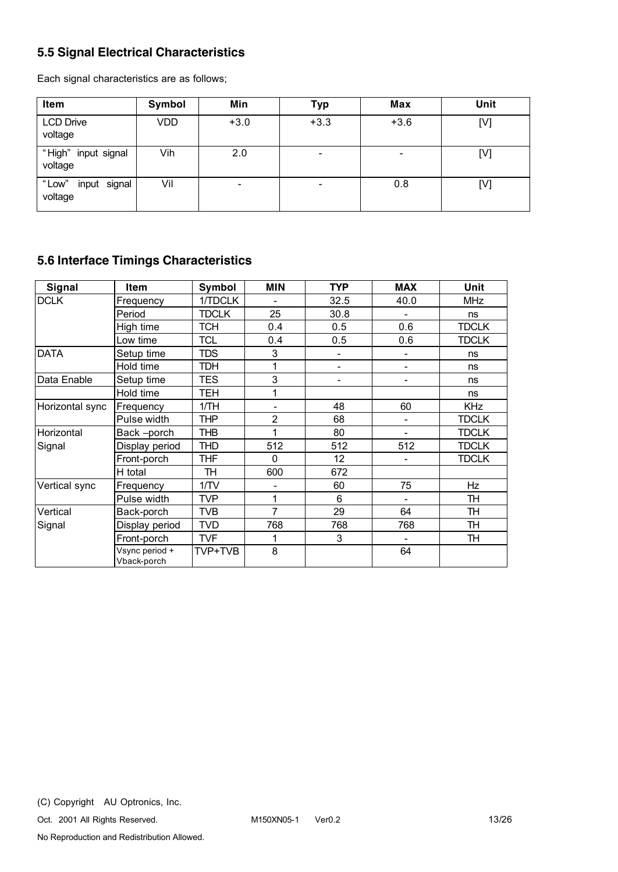### **5.5 Signal Electrical Characteristics**

Each signal characteristics are as follows;

| Item                             | Symbol | Min    | <b>Typ</b>               | Max    | Unit |
|----------------------------------|--------|--------|--------------------------|--------|------|
| <b>LCD Drive</b><br>voltage      | VDD    | $+3.0$ | $+3.3$                   | $+3.6$ | [V]  |
| "High" input signal<br>voltage   | Vih    | 2.0    | $\overline{\phantom{0}}$ |        | [V]  |
| "Low"<br>input signal<br>voltage | Vil    |        |                          | 0.8    | [V]  |

### **5.6 Interface Timings Characteristics**

| Signal          | Item                          | <b>Symbol</b> | <b>MIN</b>               | <b>TYP</b>               | <b>MAX</b>               | Unit         |
|-----------------|-------------------------------|---------------|--------------------------|--------------------------|--------------------------|--------------|
| <b>DCLK</b>     | Frequency                     | 1/TDCLK       |                          | 32.5                     | 40.0                     | <b>MHz</b>   |
|                 | Period                        | <b>TDCLK</b>  | 25                       | 30.8                     |                          | ns           |
|                 | High time                     | <b>TCH</b>    | 0.4                      | 0.5                      | 0.6                      | <b>TDCLK</b> |
|                 | Low time                      | <b>TCL</b>    | 0.4                      | 0.5                      | 0.6                      | <b>TDCLK</b> |
| DATA            | Setup time                    | <b>TDS</b>    | 3                        | $\overline{\phantom{0}}$ |                          | ns           |
|                 | Hold time                     | <b>TDH</b>    |                          | $\overline{\phantom{0}}$ |                          | ns           |
| Data Enable     | Setup time                    | <b>TES</b>    | 3                        | $\overline{\phantom{0}}$ | $\overline{\phantom{a}}$ | ns           |
|                 | Hold time                     | <b>TEH</b>    |                          |                          |                          | ns           |
| Horizontal sync | Frequency                     | 1/TH          | $\overline{\phantom{0}}$ | 48                       | 60                       | <b>KHz</b>   |
|                 | Pulse width                   | THP           | 2                        | 68                       | $\overline{a}$           | <b>TDCLK</b> |
| Horizontal      | Back-porch                    | <b>THB</b>    |                          | 80                       |                          | <b>TDCLK</b> |
| Signal          | Display period                | <b>THD</b>    | 512                      | 512                      | 512                      | <b>TDCLK</b> |
|                 | Front-porch                   | THF           | $\Omega$                 | 12                       |                          | <b>TDCLK</b> |
|                 | H total                       | TH            | 600                      | 672                      |                          |              |
| Vertical sync   | Frequency                     | 1/TV          |                          | 60                       | 75                       | Hz           |
|                 | Pulse width                   | <b>TVP</b>    | 1                        | 6                        |                          | TH           |
| Vertical        | Back-porch                    | <b>TVB</b>    | $\overline{7}$           | 29                       | 64                       | TH           |
| Signal          | Display period                | <b>TVD</b>    | 768                      | 768                      | 768                      | <b>TH</b>    |
|                 | Front-porch                   | <b>TVF</b>    | 1                        | 3                        |                          | <b>TH</b>    |
|                 | Vsync period +<br>Vback-porch | TVP+TVB       | 8                        |                          | 64                       |              |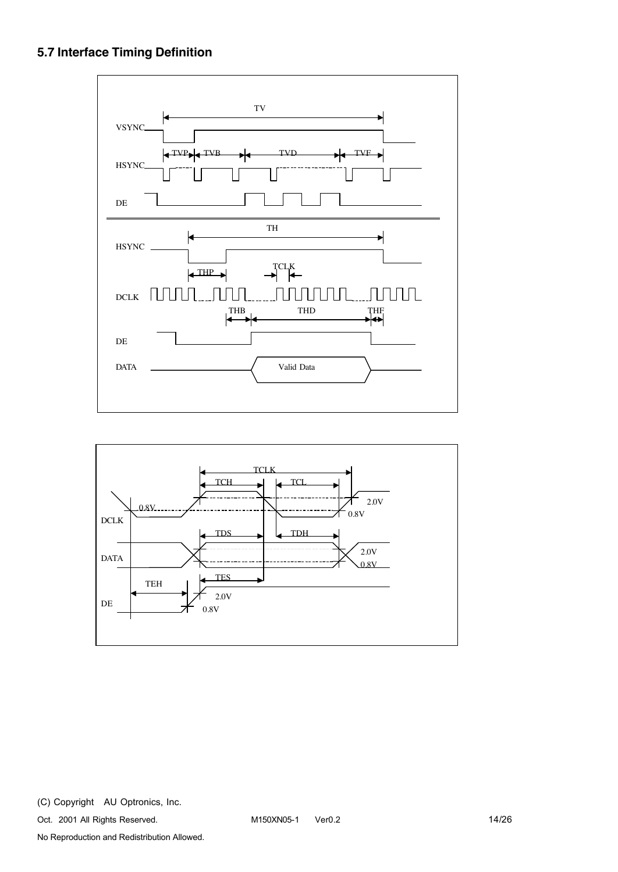### **5.7 Interface Timing Definition**



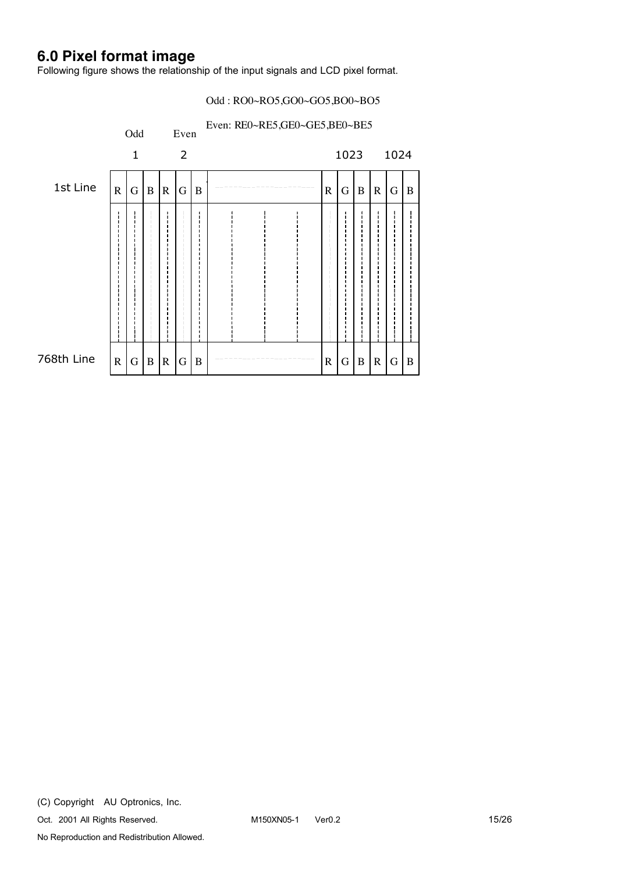## **6.0 Pixel format image**

Following figure shows the relationship of the input signals and LCD pixel format.

#### Odd : RO0~RO5,GO0~GO5,BO0~BO5

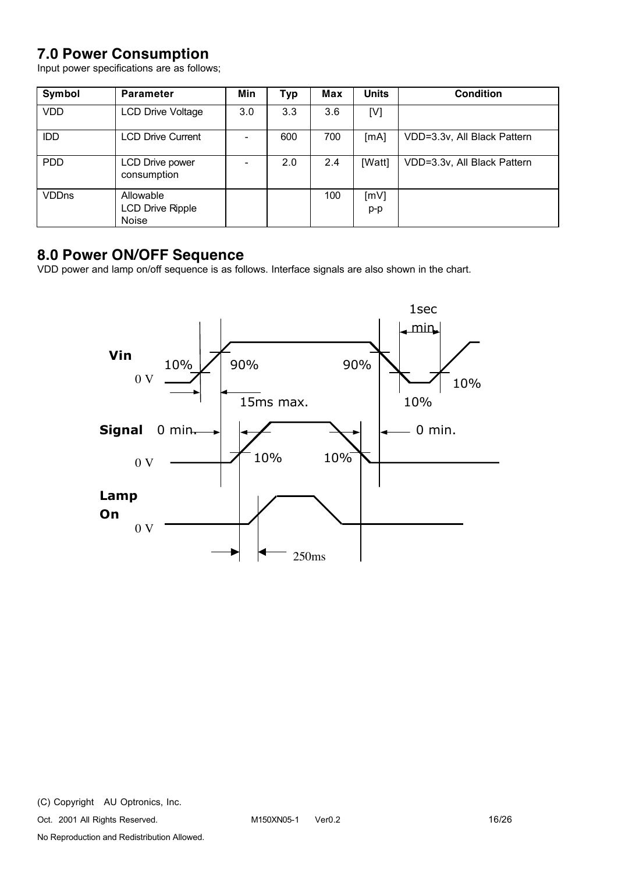## **7.0 Power Consumption**

Input power specifications are as follows;

| Symbol       | <b>Parameter</b>                              | Min | <b>Typ</b> | Max | <b>Units</b> | <b>Condition</b>            |
|--------------|-----------------------------------------------|-----|------------|-----|--------------|-----------------------------|
| <b>VDD</b>   | <b>LCD Drive Voltage</b>                      | 3.0 | 3.3        | 3.6 | [V]          |                             |
| IDD          | <b>LCD Drive Current</b>                      |     | 600        | 700 | [mA]         | VDD=3.3v, All Black Pattern |
| <b>PDD</b>   | LCD Drive power<br>consumption                |     | 2.0        | 2.4 | [Watt]       | VDD=3.3v, All Black Pattern |
| <b>VDDns</b> | Allowable<br><b>LCD Drive Ripple</b><br>Noise |     |            | 100 | [mV]<br>p-p  |                             |

### **8.0 Power ON/OFF Sequence**

VDD power and lamp on/off sequence is as follows. Interface signals are also shown in the chart.

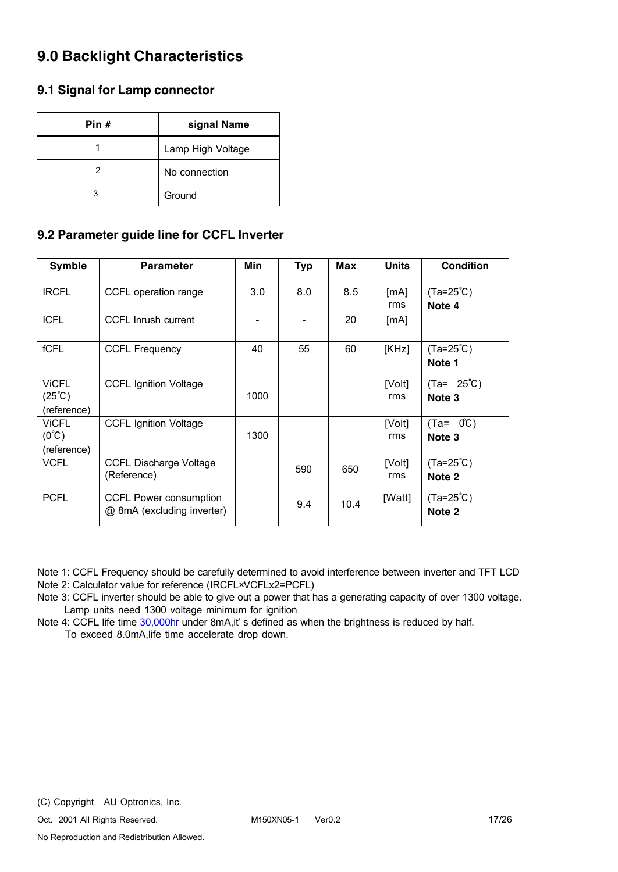## **9.0 Backlight Characteristics**

### **9.1 Signal for Lamp connector**

| Pin # | signal Name       |
|-------|-------------------|
|       | Lamp High Voltage |
|       | No connection     |
|       | Ground            |

### **9.2 Parameter guide line for CCFL Inverter**

| Symble                                                | <b>Parameter</b>                                     | Min  | <b>Typ</b> | Max  | <b>Units</b>  | <b>Condition</b>               |
|-------------------------------------------------------|------------------------------------------------------|------|------------|------|---------------|--------------------------------|
| <b>IRCFL</b>                                          | CCFL operation range                                 | 3.0  | 8.0        | 8.5  | [mA]<br>rms   | $(Ta=25^{\circ}C)$<br>Note 4   |
| <b>ICFL</b>                                           | <b>CCFL Inrush current</b>                           |      |            | 20   | [mA]          |                                |
| fCFL                                                  | <b>CCFL Frequency</b>                                | 40   | 55         | 60   | [KHz]         | $(Ta=25^{\circ}C)$<br>Note 1   |
| <b>ViCFL</b><br>$(25^{\circ}\text{C})$<br>(reference) | <b>CCFL Ignition Voltage</b>                         | 1000 |            |      | [Volt]<br>rms | $(Ta = 25^{\circ}C)$<br>Note 3 |
| <b>VICFL</b><br>$(0^{\circ}C)$<br>(reference)         | <b>CCFL Ignition Voltage</b>                         | 1300 |            |      | [Volt]<br>rms | $(Ta = 0^{\circ}C)$<br>Note 3  |
| <b>VCFL</b>                                           | <b>CCFL Discharge Voltage</b><br>(Reference)         |      | 590        | 650  | [Volt]<br>rms | $(Ta=25^{\circ}C)$<br>Note 2   |
| <b>PCFL</b>                                           | CCFL Power consumption<br>@ 8mA (excluding inverter) |      | 9.4        | 10.4 | [Watt]        | $(Ta=25^{\circ}C)$<br>Note 2   |

Note 1: CCFL Frequency should be carefully determined to avoid interference between inverter and TFT LCD Note 2: Calculator value for reference (IRCFL×VCFLx2=PCFL)

Note 3: CCFL inverter should be able to give out a power that has a generating capacity of over 1300 voltage. Lamp units need 1300 voltage minimum for ignition

Note 4: CCFL life time 30,000hr under 8mA,it' s defined as when the brightness is reduced by half. To exceed 8.0mA,life time accelerate drop down.

Oct. 2001 All Rights Reserved. M150XN05-1 Ver0.2 17/26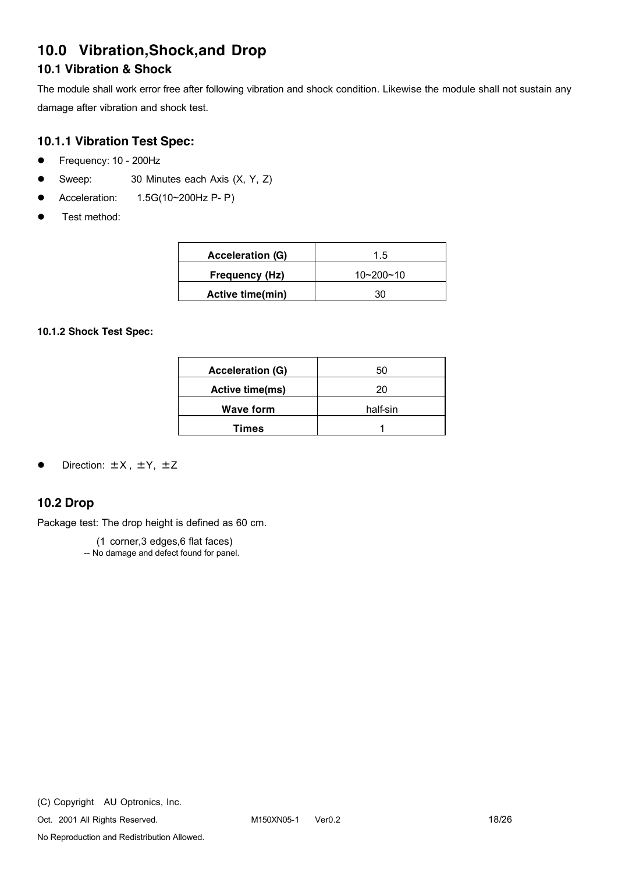## **10.0 Vibration,Shock,and Drop**

### **10.1 Vibration & Shock**

The module shall work error free after following vibration and shock condition. Likewise the module shall not sustain any damage after vibration and shock test.

### **10.1.1 Vibration Test Spec:**

- Frequency: 10 200Hz
- Sweep: 30 Minutes each Axis (X, Y, Z)
- l Acceleration: 1.5G(10~200Hz P- P)
- Test method:

| <b>Acceleration (G)</b> | 1.5             |
|-------------------------|-----------------|
| Frequency (Hz)          | $10 - 200 - 10$ |
| Active time(min)        |                 |

#### **10.1.2 Shock Test Spec:**

| <b>Acceleration (G)</b> | 50       |
|-------------------------|----------|
| <b>Active time(ms)</b>  | 20       |
| <b>Wave form</b>        | half-sin |
| <b>Times</b>            |          |

#### Direction:  $\pm X$ ,  $\pm Y$ ,  $\pm Z$

### **10.2 Drop**

Package test: The drop height is defined as 60 cm.

(1 corner,3 edges,6 flat faces)

-- No damage and defect found for panel.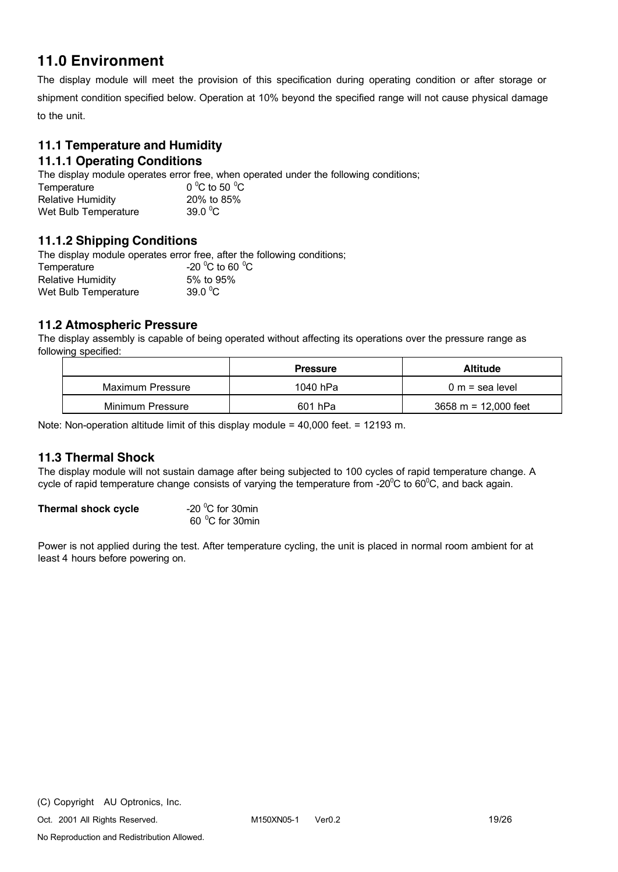### **11.0 Environment**

The display module will meet the provision of this specification during operating condition or after storage or shipment condition specified below. Operation at 10% beyond the specified range will not cause physical damage to the unit.

#### **11.1 Temperature and Humidity 11.1.1 Operating Conditions**

The display module operates error free, when operated under the following conditions;

Temperature C to 50  $^{\circ}$ C Relative Humidity 20% to 85% Wet Bulb Temperature 39.0  $^{\circ}$ C

### **11.1.2 Shipping Conditions**

The display module operates error free, after the following conditions; Temperature C to 60 $\degree$ C Relative Humidity 5% to 95% Wet Bulb Temperature 39.0  $^0$ C

### **11.2 Atmospheric Pressure**

The display assembly is capable of being operated without affecting its operations over the pressure range as following specified:

|                  | <b>Pressure</b> | <b>Altitude</b>                        |
|------------------|-----------------|----------------------------------------|
| Maximum Pressure | 1040 hPa        | $0 m$ = sea level                      |
| Minimum Pressure | 601 hPa         | $3658 \text{ m} = 12,000 \text{ feet}$ |

Note: Non-operation altitude limit of this display module = 40,000 feet. = 12193 m.

### **11.3 Thermal Shock**

The display module will not sustain damage after being subjected to 100 cycles of rapid temperature change. A cycle of rapid temperature change consists of varying the temperature from -20 $^{\circ}$ C to 60 $^{\circ}$ C, and back again.

| Thermal shock cycle | -20 $\mathrm{^0C}$ for 30min |
|---------------------|------------------------------|
|                     | 60 °C for 30min              |

Power is not applied during the test. After temperature cycling, the unit is placed in normal room ambient for at least 4 hours before powering on.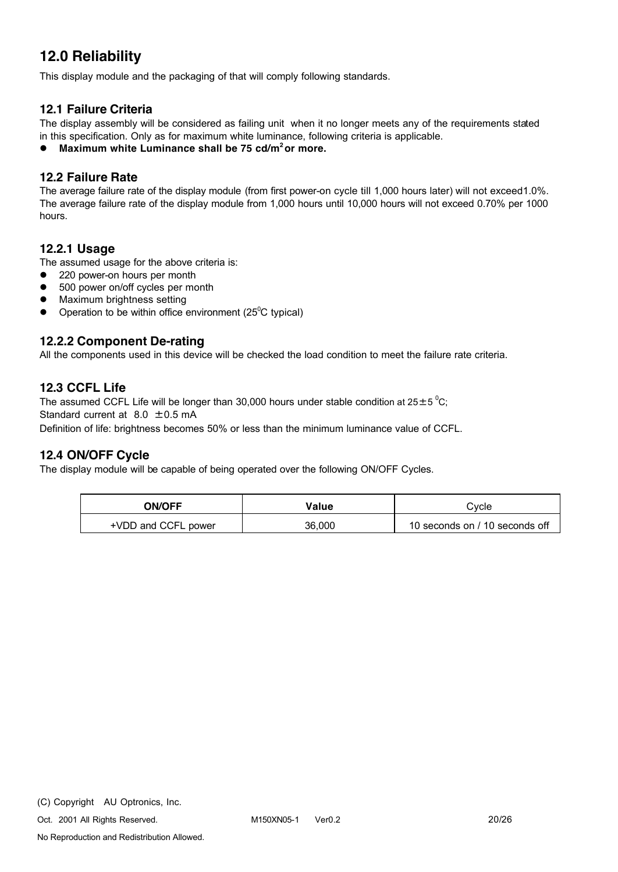## **12.0 Reliability**

This display module and the packaging of that will comply following standards.

### **12.1 Failure Criteria**

The display assembly will be considered as failing unit when it no longer meets any of the requirements stated in this specification. Only as for maximum white luminance, following criteria is applicable.

l **Maximum white Luminance shall be 75 cd/m2 or more.**

### **12.2 Failure Rate**

The average failure rate of the display module (from first power-on cycle till 1,000 hours later) will not exceed1.0%. The average failure rate of the display module from 1,000 hours until 10,000 hours will not exceed 0.70% per 1000 hours.

#### **12.2.1 Usage**

The assumed usage for the above criteria is:

- 220 power-on hours per month
- 500 power on/off cycles per month
- Maximum brightness setting
- Operation to be within office environment ( $25^{\circ}$ C typical)

#### **12.2.2 Component De-rating**

All the components used in this device will be checked the load condition to meet the failure rate criteria.

#### **12.3 CCFL Life**

The assumed CCFL Life will be longer than 30,000 hours under stable condition at 25 $\pm$ 5 °C; Standard current at 8.0 ±0.5 mA

Definition of life: brightness becomes 50% or less than the minimum luminance value of CCFL.

#### **12.4 ON/OFF Cycle**

The display module will be capable of being operated over the following ON/OFF Cycles.

| <b>ON/OFF</b>       | Value  | Cvcle                          |
|---------------------|--------|--------------------------------|
| +VDD and CCFL power | 36,000 | 10 seconds on / 10 seconds off |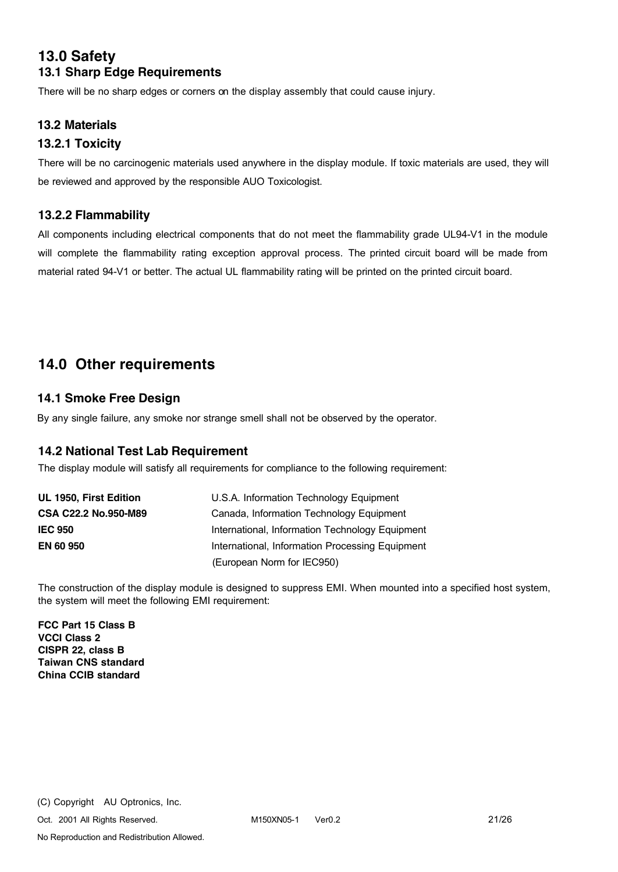### **13.0 Safety 13.1 Sharp Edge Requirements**

There will be no sharp edges or corners on the display assembly that could cause injury.

### **13.2 Materials**

### **13.2.1 Toxicity**

There will be no carcinogenic materials used anywhere in the display module. If toxic materials are used, they will be reviewed and approved by the responsible AUO Toxicologist.

### **13.2.2 Flammability**

All components including electrical components that do not meet the flammability grade UL94-V1 in the module will complete the flammability rating exception approval process. The printed circuit board will be made from material rated 94-V1 or better. The actual UL flammability rating will be printed on the printed circuit board.

### **14.0 Other requirements**

### **14.1 Smoke Free Design**

By any single failure, any smoke nor strange smell shall not be observed by the operator.

### **14.2 National Test Lab Requirement**

The display module will satisfy all requirements for compliance to the following requirement:

| UL 1950, First Edition      | U.S.A. Information Technology Equipment         |
|-----------------------------|-------------------------------------------------|
| <b>CSA C22.2 No.950-M89</b> | Canada, Information Technology Equipment        |
| <b>IEC 950</b>              | International, Information Technology Equipment |
| <b>EN 60 950</b>            | International, Information Processing Equipment |
|                             | (European Norm for IEC950)                      |

The construction of the display module is designed to suppress EMI. When mounted into a specified host system, the system will meet the following EMI requirement:

**FCC Part 15 Class B VCCI Class 2 CISPR 22, class B Taiwan CNS standard China CCIB standard**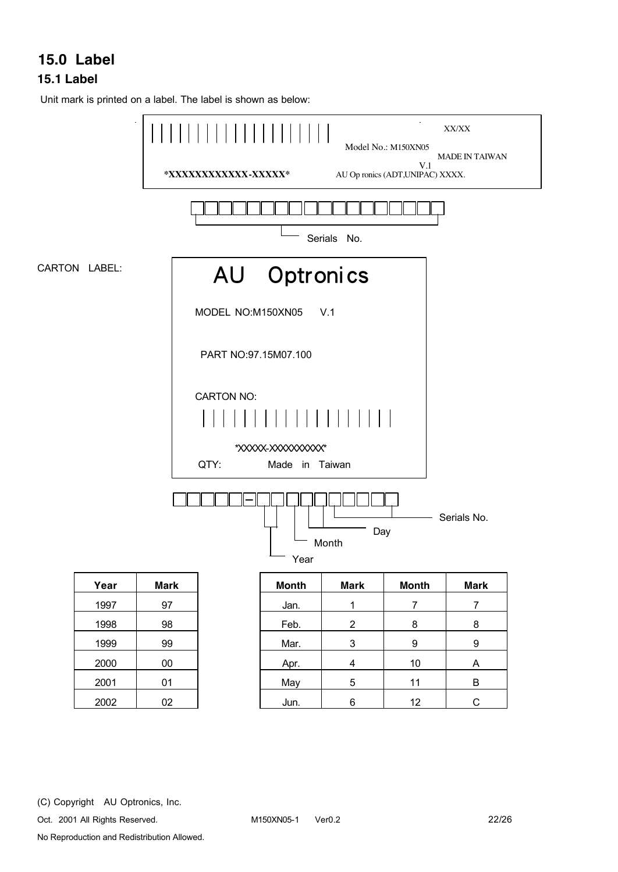## **15.0 Label**

### **15.1 Label**

Unit mark is printed on a label. The label is shown as below:

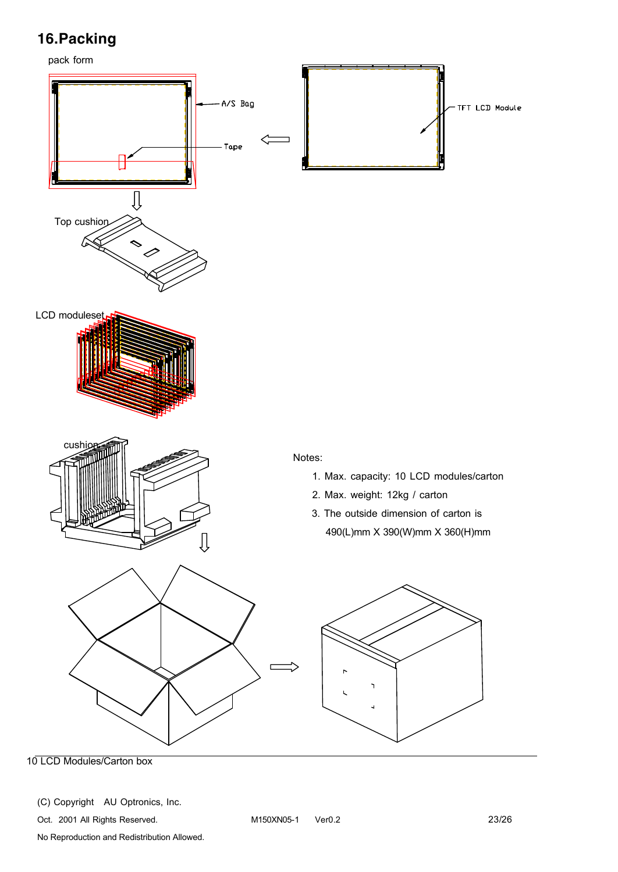# **16.Packing**

pack form



10 LCD Modules/Carton box

(C) Copyright AU Optronics, Inc.

Oct. 2001 All Rights Reserved. M150XN05-1 Ver0.2 23/26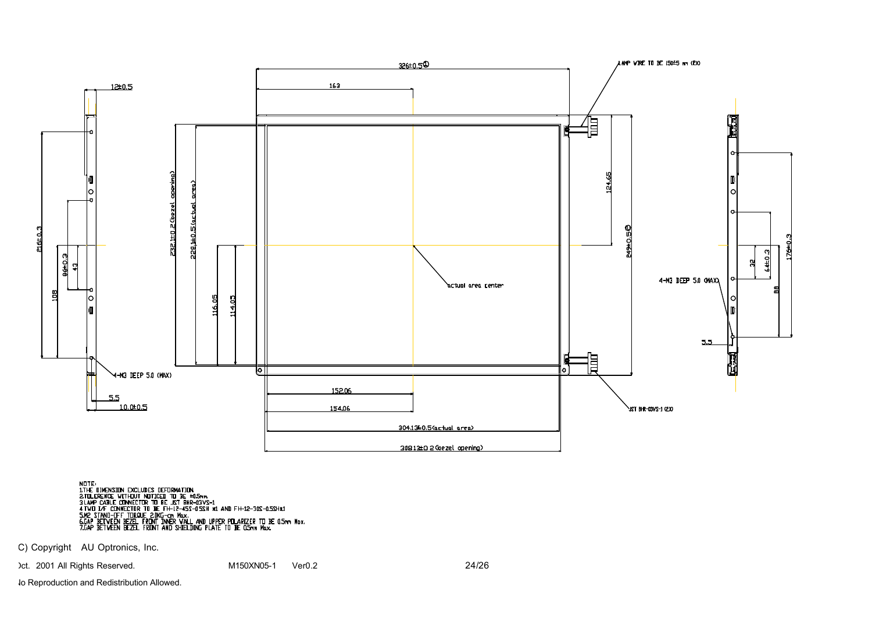

ndte:<br>1.The Dimension Excludes Deformation<br>2.Tolerence: Connector to be. LST BHR-03YS-1<br>3.LAMP CABLE CONNECTOR TO BE. LST BHR-03YS-1<br>4.TVD J/F CONNECTOR TO BE. FH-12-45S-05SH %1. AND FH-12-30S-0.5SH%1<br>5.CAP BETVEEN BEZEL F

C) Copyright AU Optronics, Inc.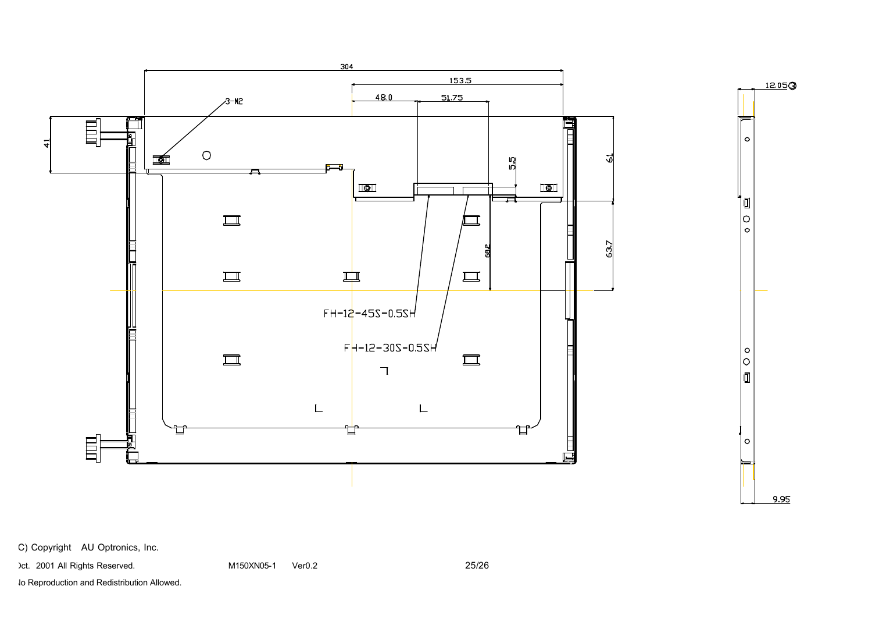

C) Copyright AU Optronics, Inc.

Oct. 2001 All Rights Reserved. The M150XN05-1 Ver0.2 C5/26